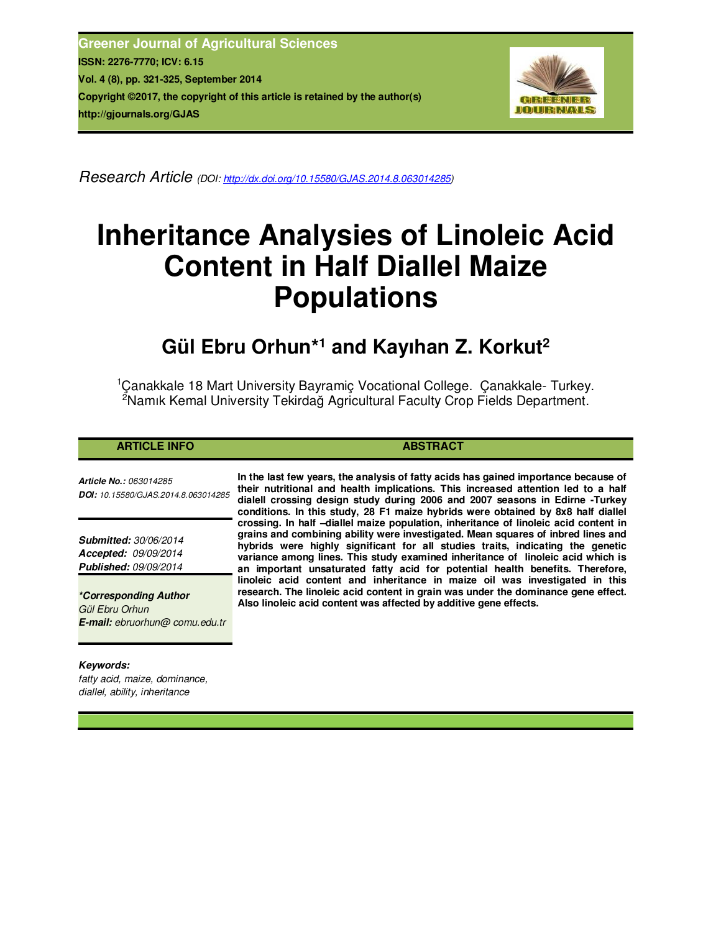**Greener Journal of Agricultural Sciences ISSN: 2276-7770; ICV: 6.15 Vol. 4 (8), pp. 321-325, September 2014 Copyright ©2017, the copyright of this article is retained by the author(s) http://gjournals.org/GJAS**



*Research Article (DOI: http://dx.doi.org/10.15580/GJAS.2014.8.063014285)* 

# **Inheritance Analysies of Linoleic Acid Content in Half Diallel Maize Populations**

# **Gül Ebru Orhun\*<sup>1</sup> and Kayıhan Z. Korkut<sup>2</sup>**

<sup>1</sup> Canakkale 18 Mart University Bayramiç Vocational College. Çanakkale- Turkey. <sup>2</sup>Namık Kemal University Tekirdağ Agricultural Faculty Crop Fields Department.

# **ARTICLE INFO ABSTRACT**

*Article No.: 063014285 DOI: 10.15580/GJAS.2014.8.063014285*

*Submitted: 30/06/2014 Accepted: 09/09/2014 Published: 09/09/2014*

*\*Corresponding Author Gül Ebru Orhun E-mail: ebruorhun@ comu.edu.tr*

# *Keywords:*

*fatty acid, maize, dominance, diallel, ability, inheritance*

**In the last few years, the analysis of fatty acids has gained importance because of their nutritional and health implications. This increased attention led to a half dialell crossing design study during 2006 and 2007 seasons in Edirne -Turkey conditions. In this study, 28 F1 maize hybrids were obtained by 8x8 half diallel crossing. In half –diallel maize population, inheritance of linoleic acid content in grains and combining ability were investigated. Mean squares of inbred lines and hybrids were highly significant for all studies traits, indicating the genetic variance among lines. This study examined inheritance of linoleic acid which is an important unsaturated fatty acid for potential health benefits. Therefore, linoleic acid content and inheritance in maize oil was investigated in this research. The linoleic acid content in grain was under the dominance gene effect. Also linoleic acid content was affected by additive gene effects.**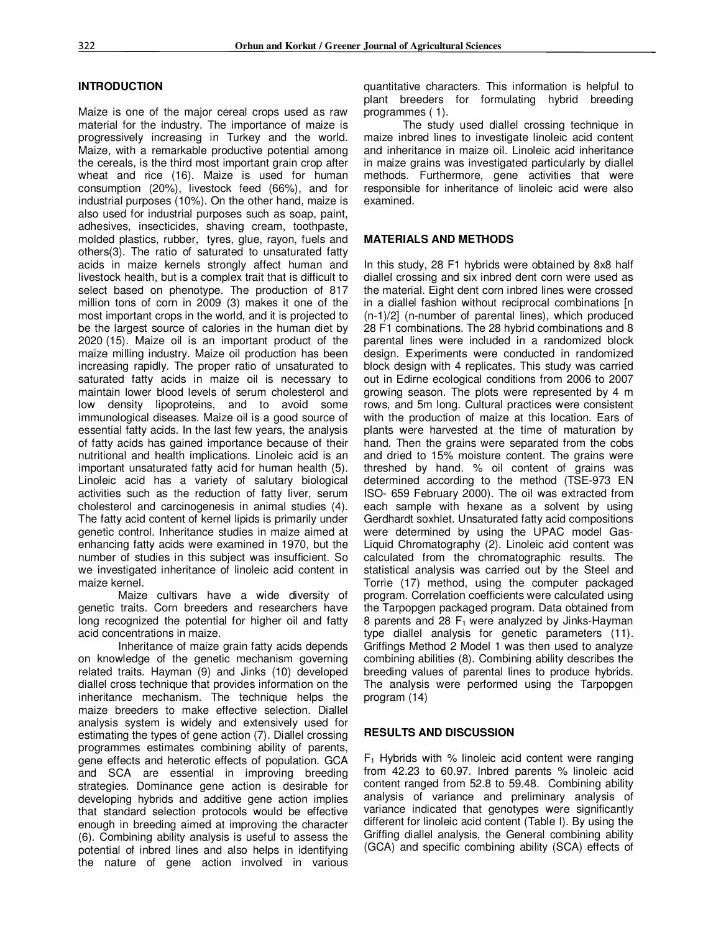#### **INTRODUCTION**

Maize is one of the major cereal crops used as raw material for the industry. The importance of maize is progressively increasing in Turkey and the world. Maize, with a remarkable productive potential among the cereals, is the third most important grain crop after wheat and rice (16). Maize is used for human consumption (20%), livestock feed (66%), and for industrial purposes (10%). On the other hand, maize is also used for industrial purposes such as soap, paint, adhesives, insecticides, shaving cream, toothpaste, molded plastics, rubber, tyres, glue, rayon, fuels and others(3). The ratio of saturated to unsaturated fatty acids in maize kernels strongly affect human and livestock health, but is a complex trait that is difficult to select based on phenotype. The production of 817 million tons of corn in 2009 (3) makes it one of the most important crops in the world, and it is projected to be the largest source of calories in the human diet by 2020 (15). Maize oil is an important product of the maize milling industry. Maize oil production has been increasing rapidly. The proper ratio of unsaturated to saturated fatty acids in maize oil is necessary to maintain lower blood levels of serum cholesterol and low density lipoproteins, and to avoid some immunological diseases. Maize oil is a good source of essential fatty acids. In the last few years, the analysis of fatty acids has gained importance because of their nutritional and health implications. Linoleic acid is an important unsaturated fatty acid for human health (5). Linoleic acid has a variety of salutary biological activities such as the reduction of fatty liver, serum cholesterol and carcinogenesis in animal studies (4). The fatty acid content of kernel lipids is primarily under genetic control. Inheritance studies in maize aimed at enhancing fatty acids were examined in 1970, but the number of studies in this subject was insufficient. So we investigated inheritance of linoleic acid content in maize kernel.

Maize cultivars have a wide diversity of genetic traits. Corn breeders and researchers have long recognized the potential for higher oil and fatty acid concentrations in maize.

Inheritance of maize grain fatty acids depends on knowledge of the genetic mechanism governing related traits. Hayman (9) and Jinks (10) developed diallel cross technique that provides information on the inheritance mechanism. The technique helps the maize breeders to make effective selection. Diallel analysis system is widely and extensively used for estimating the types of gene action (7). Diallel crossing programmes estimates combining ability of parents, gene effects and heterotic effects of population. GCA and SCA are essential in improving breeding strategies. Dominance gene action is desirable for developing hybrids and additive gene action implies that standard selection protocols would be effective enough in breeding aimed at improving the character (6). Combining ability analysis is useful to assess the potential of inbred lines and also helps in identifying the nature of gene action involved in various quantitative characters. This information is helpful to plant breeders for formulating hybrid breeding programmes ( 1).

The study used diallel crossing technique in maize inbred lines to investigate linoleic acid content and inheritance in maize oil. Linoleic acid inheritance in maize grains was investigated particularly by diallel methods. Furthermore, gene activities that were responsible for inheritance of linoleic acid were also examined.

#### **MATERIALS AND METHODS**

In this study, 28 F1 hybrids were obtained by 8x8 half diallel crossing and six inbred dent corn were used as the material. Eight dent corn inbred lines were crossed in a diallel fashion without reciprocal combinations [n (n-1)/2] (n-number of parental lines), which produced 28 F1 combinations. The 28 hybrid combinations and 8 parental lines were included in a randomized block design. Experiments were conducted in randomized block design with 4 replicates. This study was carried out in Edirne ecological conditions from 2006 to 2007 growing season. The plots were represented by 4 m rows, and 5m long. Cultural practices were consistent with the production of maize at this location. Ears of plants were harvested at the time of maturation by hand. Then the grains were separated from the cobs and dried to 15% moisture content. The grains were threshed by hand. % oil content of grains was determined according to the method (TSE-973 EN ISO- 659 February 2000). The oil was extracted from each sample with hexane as a solvent by using Gerdhardt soxhlet. Unsaturated fatty acid compositions were determined by using the UPAC model Gas-Liquid Chromatography (2). Linoleic acid content was calculated from the chromatographic results. The statistical analysis was carried out by the Steel and Torrie (17) method, using the computer packaged program. Correlation coefficients were calculated using the Tarpopgen packaged program. Data obtained from 8 parents and 28  $F_1$  were analyzed by Jinks-Hayman type diallel analysis for genetic parameters (11). Griffings Method 2 Model 1 was then used to analyze combining abilities (8). Combining ability describes the breeding values of parental lines to produce hybrids. The analysis were performed using the Tarpopgen program (14)

#### **RESULTS AND DISCUSSION**

 $F_1$  Hybrids with % linoleic acid content were ranging from 42.23 to 60.97. Inbred parents % linoleic acid content ranged from 52.8 to 59.48. Combining ability analysis of variance and preliminary analysis of variance indicated that genotypes were significantly different for linoleic acid content (Table I). By using the Griffing diallel analysis, the General combining ability (GCA) and specific combining ability (SCA) effects of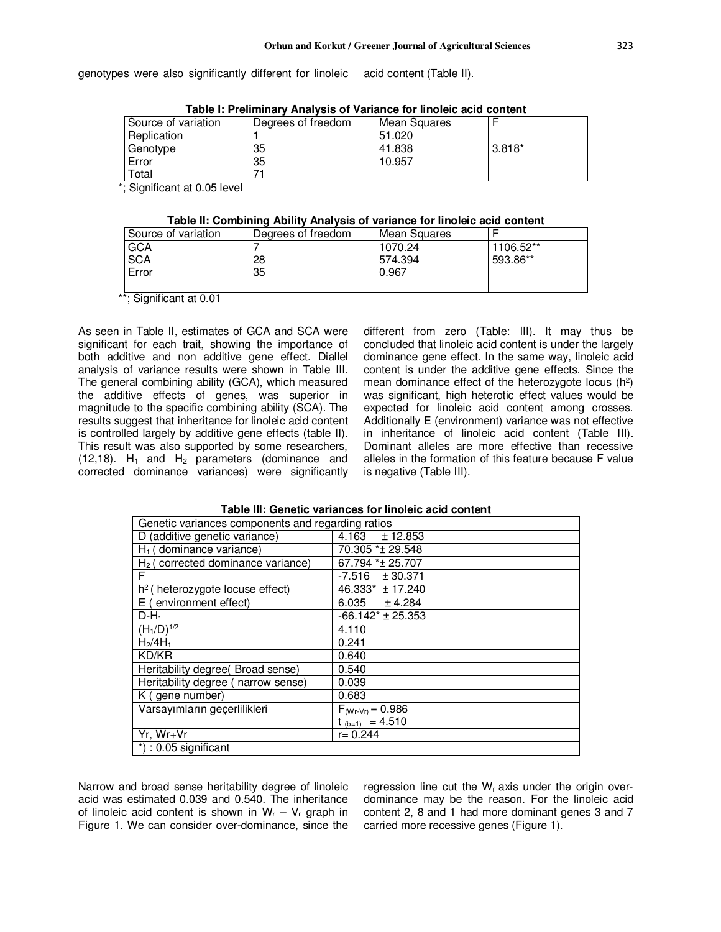genotypes were also significantly different for linoleic acid content (Table II).

| Table I: Preliminary Analysis of Variance for linoleic acid content |                    |              |        |  |  |
|---------------------------------------------------------------------|--------------------|--------------|--------|--|--|
| Source of variation                                                 | Degrees of freedom | Mean Squares |        |  |  |
| Replication                                                         |                    | 51.020       |        |  |  |
| Genotype                                                            | 35                 | 41.838       | 3.818* |  |  |
| Error                                                               | 35                 | 10.957       |        |  |  |
| Total                                                               |                    |              |        |  |  |

**Table I: Preliminary Analysis of Variance for linoleic acid content** 

\*; Significant at 0.05 level

#### **Table II: Combining Ability Analysis of variance for linoleic acid content**

| Source of variation | Degrees of freedom | Mean Squares |           |  |  |
|---------------------|--------------------|--------------|-----------|--|--|
| GCA                 |                    | 1070.24      | 1106.52** |  |  |
| <b>SCA</b>          | 28                 | 574.394      | 593.86**  |  |  |
| Error               | 35                 | 0.967        |           |  |  |
|                     |                    |              |           |  |  |

\*\*; Significant at 0.01

As seen in Table II, estimates of GCA and SCA were significant for each trait, showing the importance of both additive and non additive gene effect. Diallel analysis of variance results were shown in Table III. The general combining ability (GCA), which measured the additive effects of genes, was superior in magnitude to the specific combining ability (SCA). The results suggest that inheritance for linoleic acid content is controlled largely by additive gene effects (table II). This result was also supported by some researchers, (12,18).  $H_1$  and  $H_2$  parameters (dominance and corrected dominance variances) were significantly different from zero (Table: III). It may thus be concluded that linoleic acid content is under the largely dominance gene effect. In the same way, linoleic acid content is under the additive gene effects. Since the mean dominance effect of the heterozygote locus  $(h^2)$ was significant, high heterotic effect values would be expected for linoleic acid content among crosses. Additionally E (environment) variance was not effective in inheritance of linoleic acid content (Table III). Dominant alleles are more effective than recessive alleles in the formation of this feature because F value is negative (Table III).

| Genetic variances components and regarding ratios |                                 |  |  |
|---------------------------------------------------|---------------------------------|--|--|
| D (additive genetic variance)                     | $4.163 + 12.853$                |  |  |
| $H_1$ (dominance variance)                        | 70.305 * ± 29.548               |  |  |
| $H2$ (corrected dominance variance)               | 67.794 * ± 25.707               |  |  |
| F                                                 | $-7.516 \pm 30.371$             |  |  |
| $h^2$<br>(heterozygote locuse effect)             | 46.333* ± 17.240                |  |  |
| E (environment effect)                            | $6.035 + 4.284$                 |  |  |
| $D - H_1$                                         | $-66.142$ <sup>*</sup> ± 25.353 |  |  |
| $(H_1/D)^{1/\sqrt{2}}$                            | 4.110                           |  |  |
| $H_2/4H_1$                                        | 0.241                           |  |  |
| KD/KR                                             | 0.640                           |  |  |
| Heritability degree( Broad sense)                 | 0.540                           |  |  |
| Heritability degree (narrow sense)                | 0.039                           |  |  |
| K (gene number)                                   | 0.683                           |  |  |
| Varsayımların geçerlilikleri                      | $F_{(Wr-Vr)} = 0.986$           |  |  |
|                                                   | $t_{(b=1)} = 4.510$             |  |  |
| Yr, Wr+Vr                                         | $r = 0.244$                     |  |  |
| $*$ ) : 0.05 significant                          |                                 |  |  |

#### **Table III: Genetic variances for linoleic acid content**

Narrow and broad sense heritability degree of linoleic acid was estimated 0.039 and 0.540. The inheritance of linoleic acid content is shown in  $W_r - V_r$  graph in Figure 1. We can consider over-dominance, since the regression line cut the  $W_r$  axis under the origin overdominance may be the reason. For the linoleic acid content 2, 8 and 1 had more dominant genes 3 and 7 carried more recessive genes (Figure 1).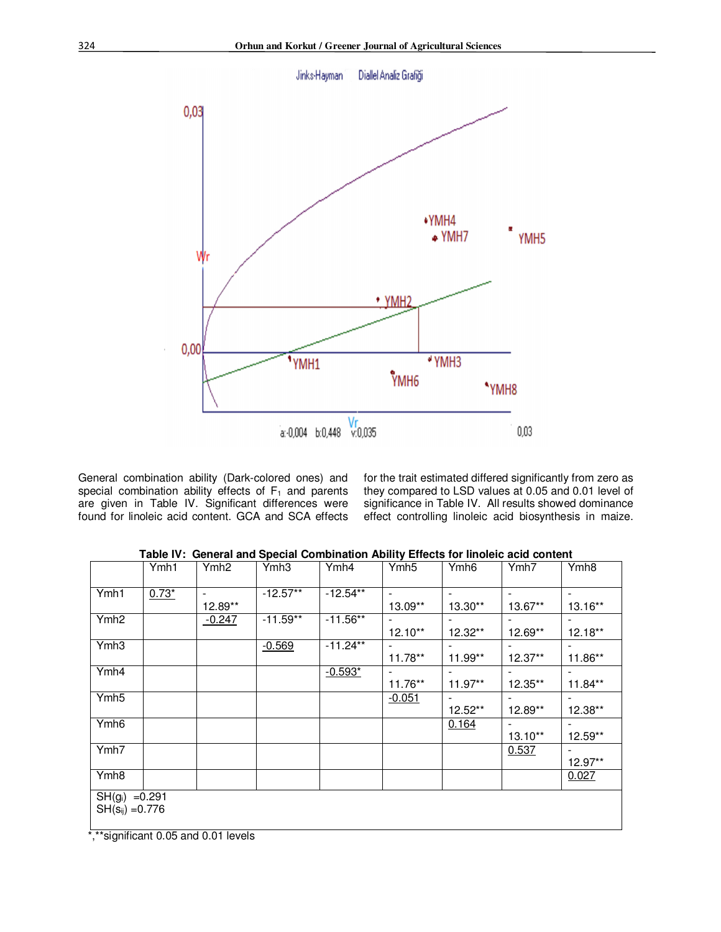

General combination ability (Dark-colored ones) and special combination ability effects of  $F_1$  and parents are given in Table IV. Significant differences were found for linoleic acid content. GCA and SCA effects

for the trait estimated differed significantly from zero as they compared to LSD values at 0.05 and 0.01 level of significance in Table IV. All results showed dominance effect controlling linoleic acid biosynthesis in maize.

|                                                                                                | Ymh1    | Ymh <sub>2</sub> | Ymh <sub>3</sub> | Ymh4        | Ymh <sub>5</sub> | Ymh <sub>6</sub> | Ymh7      | Ymh <sub>8</sub> |
|------------------------------------------------------------------------------------------------|---------|------------------|------------------|-------------|------------------|------------------|-----------|------------------|
| Ymh1                                                                                           | $0.73*$ | 12.89**          | $-12.57**$       | $-12.54***$ | 13.09**          | 13.30**          | $13.67**$ | 13.16**          |
| Ymh <sub>2</sub>                                                                               |         | $-0.247$         | $-11.59**$       | $-11.56**$  | $12.10**$        | 12.32**          | 12.69**   | $12.18**$        |
| Ymh <sub>3</sub>                                                                               |         |                  | $-0.569$         | $-11.24**$  | $11.78**$        | 11.99**          | $12.37**$ | 11.86**          |
| Ymh4                                                                                           |         |                  |                  | $-0.593*$   | 11.76**          | $11.97**$        | $12.35**$ | $11.84**$        |
| Ymh <sub>5</sub>                                                                               |         |                  |                  |             | $-0.051$         | -<br>12.52**     | $12.89**$ | 12.38**          |
| Ymh <sub>6</sub>                                                                               |         |                  |                  |             |                  | 0.164            | $13.10**$ | 12.59**          |
| Ymh7                                                                                           |         |                  |                  |             |                  |                  | 0.537     | 12.97**          |
| Ymh <sub>8</sub>                                                                               |         |                  |                  |             |                  |                  |           | 0.027            |
| $SH(g_i) = 0.291$<br>$SH(s_{ij}) = 0.776$<br>________________<br>$\mathbf{1}$ and $\mathbf{1}$ |         |                  |                  |             |                  |                  |           |                  |

**Table IV: General and Special Combination Ability Effects for linoleic acid content** 

\*,\*\*significant 0.05 and 0.01 levels